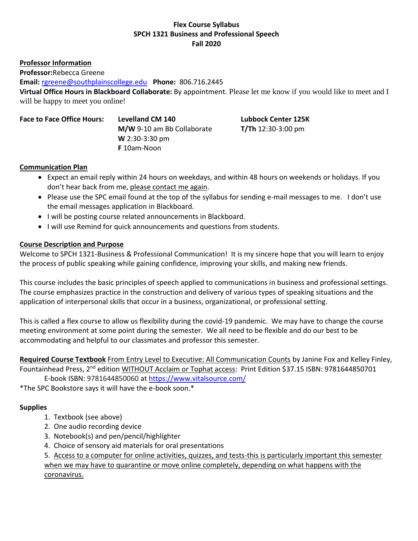## **Flex Course Syllabus SPCH 1321 Business and Professional Speech Fall 2020**

**Professor Information**

**Professor:**Rebecca Greene

**Email:** [rgreene@southplainscollege.edu](file:///C:/Users/rgreene/Downloads/rgreene@southplainscollege.edu) **Phone:** 806.716.2445

**Virtual Office Hours in Blackboard Collaborate:** By appointment. Please let me know if you would like to meet and I will be happy to meet you online!

**Face to Face Office Hours: Levelland CM 140 Lubbock Center 125K**

**M/W** 9-10 am Bb Collaborate **T/Th** 12:30-3:00 pm **W** 2:30-3:30 pm **F** 10am-Noon

## **Communication Plan**

- Expect an email reply within 24 hours on weekdays, and within 48 hours on weekends or holidays. If you don't hear back from me, please contact me again.
- Please use the SPC email found at the top of the syllabus for sending e-mail messages to me. I don't use the email messages application in Blackboard.
- I will be posting course related announcements in Blackboard.
- I will use Remind for quick announcements and questions from students.

# **Course Description and Purpose**

Welcome to SPCH 1321-Business & Professional Communication! It is my sincere hope that you will learn to enjoy the process of public speaking while gaining confidence, improving your skills, and making new friends.

This course includes the basic principles of speech applied to communications in business and professional settings. The course emphasizes practice in the construction and delivery of various types of speaking situations and the application of interpersonal skills that occur in a business, organizational, or professional setting.

This is called a flex course to allow us flexibility during the covid-19 pandemic. We may have to change the course meeting environment at some point during the semester. We all need to be flexible and do our best to be accommodating and helpful to our classmates and professor this semester.

**Required Course Textbook** From Entry Level to Executive: All Communication Counts by Janine Fox and Kelley Finley, Fountainhead Press, 2<sup>nd</sup> edition WITHOUT Acclaim or Tophat access: Print Edition \$37.15 ISBN: 9781644850701

E-book ISBN: 9781644850060 at [https://www.vitalsource.com/](https://nam02.safelinks.protection.outlook.com/?url=https%3A%2F%2Fwww.vitalsource.com%2F&data=01%7C01%7Crgreene%40southplainscollege.edu%7C7034b13f96da4c1fe1d208d845395f5b%7C6d91b166cf6a45e99e22a02625d082a9%7C0&sdata=bXkMh%2BlAL9kvYhyfXB6Hipq6x2M0cFUfekjlSyRzY6U%3D&reserved=0)

\*The SPC Bookstore says it will have the e-book soon.\*

# **Supplies**

- 1. Textbook (see above)
- 2. One audio recording device
- 3. Notebook(s) and pen/pencil/highlighter
- 4. Choice of sensory aid materials for oral presentations

5. Access to a computer for online activities, quizzes, and tests-this is particularly important this semester when we may have to quarantine or move online completely, depending on what happens with the coronavirus.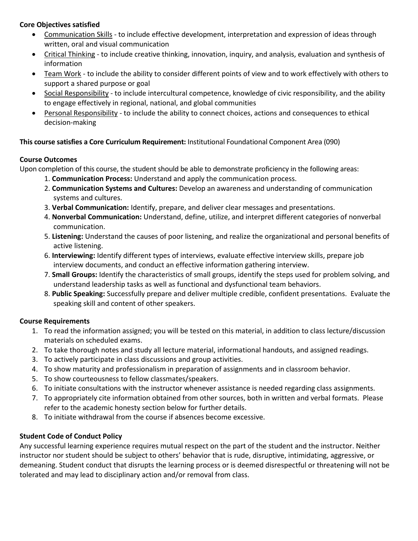## **Core Objectives satisfied**

- Communication Skills to include effective development, interpretation and expression of ideas through written, oral and visual communication
- Critical Thinking to include creative thinking, innovation, inquiry, and analysis, evaluation and synthesis of information
- Team Work to include the ability to consider different points of view and to work effectively with others to support a shared purpose or goal
- Social Responsibility to include intercultural competence, knowledge of civic responsibility, and the ability to engage effectively in regional, national, and global communities
- Personal Responsibility to include the ability to connect choices, actions and consequences to ethical decision-making

# **This course satisfies a Core Curriculum Requirement:** Institutional Foundational Component Area (090)

# **Course Outcomes**

Upon completion of this course, the student should be able to demonstrate proficiency in the following areas:

- 1. **Communication Process:** Understand and apply the communication process.
- 2. **Communication Systems and Cultures:** Develop an awareness and understanding of communication systems and cultures.
- 3. **Verbal Communication:** Identify, prepare, and deliver clear messages and presentations.
- 4. **Nonverbal Communication:** Understand, define, utilize, and interpret different categories of nonverbal communication.
- 5. **Listening:** Understand the causes of poor listening, and realize the organizational and personal benefits of active listening.
- 6. **Interviewing:** Identify different types of interviews, evaluate effective interview skills, prepare job interview documents, and conduct an effective information gathering interview.
- 7. **Small Groups:** Identify the characteristics of small groups, identify the steps used for problem solving, and understand leadership tasks as well as functional and dysfunctional team behaviors.
- 8. **Public Speaking:** Successfully prepare and deliver multiple credible, confident presentations. Evaluate the speaking skill and content of other speakers.

# **Course Requirements**

- 1. To read the information assigned; you will be tested on this material, in addition to class lecture/discussion materials on scheduled exams.
- 2. To take thorough notes and study all lecture material, informational handouts, and assigned readings.
- 3. To actively participate in class discussions and group activities.
- 4. To show maturity and professionalism in preparation of assignments and in classroom behavior.
- 5. To show courteousness to fellow classmates/speakers.
- 6. To initiate consultations with the instructor whenever assistance is needed regarding class assignments.
- 7. To appropriately cite information obtained from other sources, both in written and verbal formats. Please refer to the academic honesty section below for further details.
- 8. To initiate withdrawal from the course if absences become excessive.

# **Student Code of Conduct Policy**

Any successful learning experience requires mutual respect on the part of the student and the instructor. Neither instructor nor student should be subject to others' behavior that is rude, disruptive, intimidating, aggressive, or demeaning. Student conduct that disrupts the learning process or is deemed disrespectful or threatening will not be tolerated and may lead to disciplinary action and/or removal from class.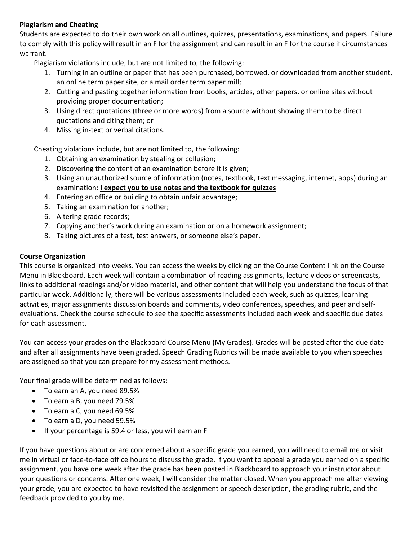## **Plagiarism and Cheating**

Students are expected to do their own work on all outlines, quizzes, presentations, examinations, and papers. Failure to comply with this policy will result in an F for the assignment and can result in an F for the course if circumstances warrant.

Plagiarism violations include, but are not limited to, the following:

- 1. Turning in an outline or paper that has been purchased, borrowed, or downloaded from another student, an online term paper site, or a mail order term paper mill;
- 2. Cutting and pasting together information from books, articles, other papers, or online sites without providing proper documentation;
- 3. Using direct quotations (three or more words) from a source without showing them to be direct quotations and citing them; or
- 4. Missing in-text or verbal citations.

Cheating violations include, but are not limited to, the following:

- 1. Obtaining an examination by stealing or collusion;
- 2. Discovering the content of an examination before it is given;
- 3. Using an unauthorized source of information (notes, textbook, text messaging, internet, apps) during an examination: **I expect you to use notes and the textbook for quizzes**
- 4. Entering an office or building to obtain unfair advantage;
- 5. Taking an examination for another;
- 6. Altering grade records;
- 7. Copying another's work during an examination or on a homework assignment;
- 8. Taking pictures of a test, test answers, or someone else's paper.

## **Course Organization**

This course is organized into weeks. You can access the weeks by clicking on the Course Content link on the Course Menu in Blackboard. Each week will contain a combination of reading assignments, lecture videos or screencasts, links to additional readings and/or video material, and other content that will help you understand the focus of that particular week. Additionally, there will be various assessments included each week, such as quizzes, learning activities, major assignments discussion boards and comments, video conferences, speeches, and peer and selfevaluations. Check the course schedule to see the specific assessments included each week and specific due dates for each assessment.

You can access your grades on the Blackboard Course Menu (My Grades). Grades will be posted after the due date and after all assignments have been graded. Speech Grading Rubrics will be made available to you when speeches are assigned so that you can prepare for my assessment methods.

Your final grade will be determined as follows:

- To earn an A, you need 89.5%
- To earn a B, you need 79.5%
- To earn a C, you need 69.5%
- To earn a D, you need 59.5%
- If your percentage is 59.4 or less, you will earn an F

If you have questions about or are concerned about a specific grade you earned, you will need to email me or visit me in virtual or face-to-face office hours to discuss the grade. If you want to appeal a grade you earned on a specific assignment, you have one week after the grade has been posted in Blackboard to approach your instructor about your questions or concerns. After one week, I will consider the matter closed. When you approach me after viewing your grade, you are expected to have revisited the assignment or speech description, the grading rubric, and the feedback provided to you by me.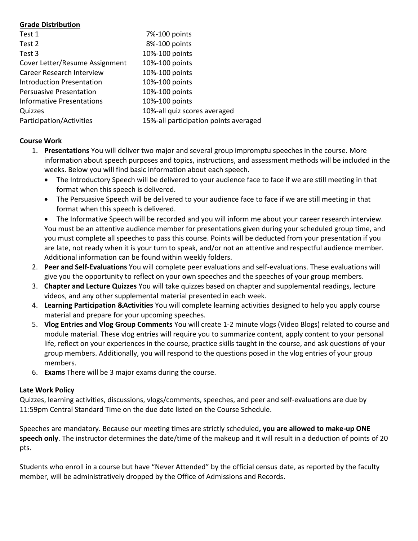## **Grade Distribution**

| Test 1                         | 7%-100 points                         |
|--------------------------------|---------------------------------------|
| Test 2                         | 8%-100 points                         |
| Test 3                         | 10%-100 points                        |
| Cover Letter/Resume Assignment | 10%-100 points                        |
| Career Research Interview      | 10%-100 points                        |
| Introduction Presentation      | 10%-100 points                        |
| <b>Persuasive Presentation</b> | 10%-100 points                        |
| Informative Presentations      | 10%-100 points                        |
| Quizzes                        | 10%-all quiz scores averaged          |
| Participation/Activities       | 15%-all participation points averaged |

## **Course Work**

- 1. **Presentations** You will deliver two major and several group impromptu speeches in the course. More information about speech purposes and topics, instructions, and assessment methods will be included in the weeks. Below you will find basic information about each speech.
	- The Introductory Speech will be delivered to your audience face to face if we are still meeting in that format when this speech is delivered.
	- The Persuasive Speech will be delivered to your audience face to face if we are still meeting in that format when this speech is delivered.
	- The Informative Speech will be recorded and you will inform me about your career research interview. You must be an attentive audience member for presentations given during your scheduled group time, and you must complete all speeches to pass this course. Points will be deducted from your presentation if you are late, not ready when it is your turn to speak, and/or not an attentive and respectful audience member. Additional information can be found within weekly folders.
- 2. **Peer and Self-Evaluations** You will complete peer evaluations and self-evaluations. These evaluations will give you the opportunity to reflect on your own speeches and the speeches of your group members.
- 3. **Chapter and Lecture Quizzes** You will take quizzes based on chapter and supplemental readings, lecture videos, and any other supplemental material presented in each week.
- 4. **Learning Participation &Activities** You will complete learning activities designed to help you apply course material and prepare for your upcoming speeches.
- 5. **Vlog Entries and Vlog Group Comments** You will create 1-2 minute vlogs (Video Blogs) related to course and module material. These vlog entries will require you to summarize content, apply content to your personal life, reflect on your experiences in the course, practice skills taught in the course, and ask questions of your group members. Additionally, you will respond to the questions posed in the vlog entries of your group members.
- 6. **Exams** There will be 3 major exams during the course.

## **Late Work Policy**

Quizzes, learning activities, discussions, vlogs/comments, speeches, and peer and self-evaluations are due by 11:59pm Central Standard Time on the due date listed on the Course Schedule.

Speeches are mandatory. Because our meeting times are strictly scheduled**, you are allowed to make-up ONE speech only**. The instructor determines the date/time of the makeup and it will result in a deduction of points of 20 pts.

Students who enroll in a course but have "Never Attended" by the official census date, as reported by the faculty member, will be administratively dropped by the Office of Admissions and Records.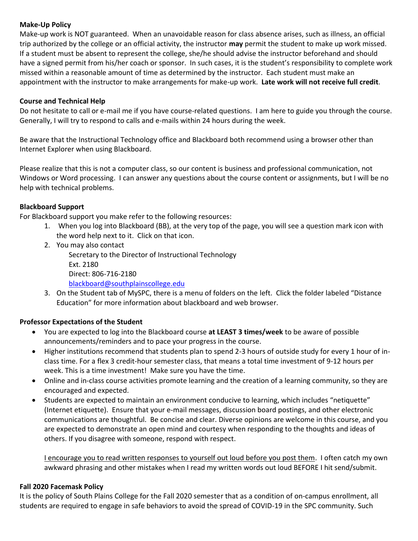## **Make-Up Policy**

Make-up work is NOT guaranteed. When an unavoidable reason for class absence arises, such as illness, an official trip authorized by the college or an official activity, the instructor **may** permit the student to make up work missed. If a student must be absent to represent the college, she/he should advise the instructor beforehand and should have a signed permit from his/her coach or sponsor. In such cases, it is the student's responsibility to complete work missed within a reasonable amount of time as determined by the instructor. Each student must make an appointment with the instructor to make arrangements for make-up work. **Late work will not receive full credit**.

## **Course and Technical Help**

Do not hesitate to call or e-mail me if you have course-related questions. I am here to guide you through the course. Generally, I will try to respond to calls and e-mails within 24 hours during the week.

Be aware that the Instructional Technology office and Blackboard both recommend using a browser other than Internet Explorer when using Blackboard.

Please realize that this is not a computer class, so our content is business and professional communication, not Windows or Word processing. I can answer any questions about the course content or assignments, but I will be no help with technical problems.

# **Blackboard Support**

For Blackboard support you make refer to the following resources:

- 1. When you log into Blackboard (BB), at the very top of the page, you will see a question mark icon with the word help next to it. Click on that icon.
- 2. You may also contact Secretary to the Director of Instructional Technology Ext. 2180 Direct: 806-716-2180 [blackboard@southplainscollege.edu](mailto:jetucker@southplainscollege.edu)
- 3. On the Student tab of MySPC, there is a menu of folders on the left. Click the folder labeled "Distance Education" for more information about blackboard and web browser.

# **Professor Expectations of the Student**

- You are expected to log into the Blackboard course **at LEAST 3 times/week** to be aware of possible announcements/reminders and to pace your progress in the course.
- Higher institutions recommend that students plan to spend 2-3 hours of outside study for every 1 hour of inclass time. For a flex 3 credit-hour semester class, that means a total time investment of 9-12 hours per week. This is a time investment! Make sure you have the time.
- Online and in-class course activities promote learning and the creation of a learning community, so they are encouraged and expected.
- Students are expected to maintain an environment conducive to learning, which includes "netiquette" (Internet etiquette). Ensure that your e-mail messages, discussion board postings, and other electronic communications are thoughtful. Be concise and clear. Diverse opinions are welcome in this course, and you are expected to demonstrate an open mind and courtesy when responding to the thoughts and ideas of others. If you disagree with someone, respond with respect.

I encourage you to read written responses to yourself out loud before you post them. I often catch my own awkward phrasing and other mistakes when I read my written words out loud BEFORE I hit send/submit.

## **Fall 2020 Facemask Policy**

It is the policy of South Plains College for the Fall 2020 semester that as a condition of on-campus enrollment, all students are required to engage in safe behaviors to avoid the spread of COVID-19 in the SPC community. Such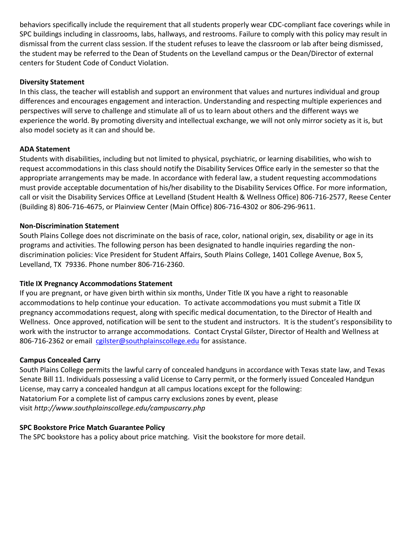behaviors specifically include the requirement that all students properly wear CDC-compliant face coverings while in SPC buildings including in classrooms, labs, hallways, and restrooms. Failure to comply with this policy may result in dismissal from the current class session. If the student refuses to leave the classroom or lab after being dismissed, the student may be referred to the Dean of Students on the Levelland campus or the Dean/Director of external centers for Student Code of Conduct Violation.

## **Diversity Statement**

In this class, the teacher will establish and support an environment that values and nurtures individual and group differences and encourages engagement and interaction. Understanding and respecting multiple experiences and perspectives will serve to challenge and stimulate all of us to learn about others and the different ways we experience the world. By promoting diversity and intellectual exchange, we will not only mirror society as it is, but also model society as it can and should be.

## **ADA Statement**

Students with disabilities, including but not limited to physical, psychiatric, or learning disabilities, who wish to request accommodations in this class should notify the Disability Services Office early in the semester so that the appropriate arrangements may be made. In accordance with federal law, a student requesting accommodations must provide acceptable documentation of his/her disability to the Disability Services Office. For more information, call or visit the Disability Services Office at Levelland (Student Health & Wellness Office) 806-716-2577, Reese Center (Building 8) 806-716-4675, or Plainview Center (Main Office) 806-716-4302 or 806-296-9611.

## **Non-Discrimination Statement**

South Plains College does not discriminate on the basis of race, color, national origin, sex, disability or age in its programs and activities. The following person has been designated to handle inquiries regarding the nondiscrimination policies: Vice President for Student Affairs, South Plains College, 1401 College Avenue, Box 5, Levelland, TX 79336. Phone number 806-716-2360.

# **Title IX Pregnancy Accommodations Statement**

If you are pregnant, or have given birth within six months, Under Title IX you have a right to reasonable accommodations to help continue your education. To activate accommodations you must submit a Title IX pregnancy accommodations request, along with specific medical documentation, to the Director of Health and Wellness. Once approved, notification will be sent to the student and instructors. It is the student's responsibility to work with the instructor to arrange accommodations. Contact Crystal Gilster, Director of Health and Wellness at 806-716-2362 or email [cgilster@southplainscollege.edu](mailto:cgilster@southplainscollege.edu) for assistance.

## **Campus Concealed Carry**

South Plains College permits the lawful carry of concealed handguns in accordance with Texas state law, and Texas Senate Bill 11. Individuals possessing a valid License to Carry permit, or the formerly issued Concealed Handgun License, may carry a concealed handgun at all campus locations except for the following: Natatorium For a complete list of campus carry exclusions zones by event, please visit *http://www.southplainscollege.edu/campuscarry.php*

## **SPC Bookstore Price Match Guarantee Policy**

The SPC bookstore has a policy about price matching. Visit the bookstore for more detail.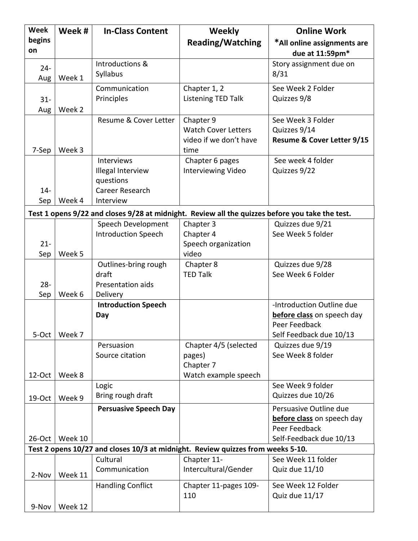| <b>Week</b>   | Week #                                                                                          | <b>In-Class Content</b>                                                      | <b>Weekly</b>                                                                   | <b>Online Work</b>                                                                                  |  |  |  |  |
|---------------|-------------------------------------------------------------------------------------------------|------------------------------------------------------------------------------|---------------------------------------------------------------------------------|-----------------------------------------------------------------------------------------------------|--|--|--|--|
| begins<br>on  |                                                                                                 |                                                                              | <b>Reading/Watching</b>                                                         | *All online assignments are<br>due at 11:59pm*                                                      |  |  |  |  |
| $24 -$<br>Aug | Week 1                                                                                          | Introductions &<br>Syllabus                                                  |                                                                                 | Story assignment due on<br>8/31                                                                     |  |  |  |  |
| $31 -$<br>Aug | Week 2                                                                                          | Communication<br>Principles                                                  | Chapter 1, 2<br>Listening TED Talk                                              | See Week 2 Folder<br>Quizzes 9/8                                                                    |  |  |  |  |
| 7-Sep         | Week 3                                                                                          | Resume & Cover Letter                                                        | Chapter 9<br><b>Watch Cover Letters</b><br>video if we don't have<br>time       | See Week 3 Folder<br>Quizzes 9/14<br>Resume & Cover Letter 9/15                                     |  |  |  |  |
| $14 -$<br>Sep | Week 4                                                                                          | Interviews<br>Illegal Interview<br>questions<br>Career Research<br>Interview | Chapter 6 pages<br>Interviewing Video                                           | See week 4 folder<br>Quizzes 9/22                                                                   |  |  |  |  |
|               | Test 1 opens 9/22 and closes 9/28 at midnight. Review all the quizzes before you take the test. |                                                                              |                                                                                 |                                                                                                     |  |  |  |  |
| $21 -$<br>Sep | Week 5                                                                                          | Speech Development<br><b>Introduction Speech</b>                             | Chapter 3<br>Chapter 4<br>Speech organization<br>video                          | Quizzes due 9/21<br>See Week 5 folder                                                               |  |  |  |  |
| $28 -$<br>Sep | Week 6                                                                                          | Outlines-bring rough<br>draft<br>Presentation aids<br>Delivery               | Chapter 8<br><b>TED Talk</b>                                                    | Quizzes due 9/28<br>See Week 6 Folder                                                               |  |  |  |  |
| 5-Oct         | Week 7                                                                                          | <b>Introduction Speech</b><br>Day                                            |                                                                                 | -Introduction Outline due<br>before class on speech day<br>Peer Feedback<br>Self Feedback due 10/13 |  |  |  |  |
| 12-Oct        | Week 8                                                                                          | Persuasion<br>Source citation                                                | Chapter 4/5 (selected<br>pages)<br>Chapter 7<br>Watch example speech            | Quizzes due 9/19<br>See Week 8 folder                                                               |  |  |  |  |
| 19-Oct        | Week 9                                                                                          | Logic<br>Bring rough draft                                                   |                                                                                 | See Week 9 folder<br>Quizzes due 10/26                                                              |  |  |  |  |
| $26$ -Oct     | Week 10                                                                                         | <b>Persuasive Speech Day</b>                                                 |                                                                                 | Persuasive Outline due<br>before class on speech day<br>Peer Feedback<br>Self-Feedback due 10/13    |  |  |  |  |
|               |                                                                                                 |                                                                              | Test 2 opens 10/27 and closes 10/3 at midnight. Review quizzes from weeks 5-10. |                                                                                                     |  |  |  |  |
| 2-Nov         | Week 11                                                                                         | Cultural<br>Communication                                                    | Chapter 11-<br>Intercultural/Gender                                             | See Week 11 folder<br>Quiz due 11/10                                                                |  |  |  |  |
| 9-Nov         | Week 12                                                                                         | <b>Handling Conflict</b>                                                     | Chapter 11-pages 109-<br>110                                                    | See Week 12 Folder<br>Quiz due 11/17                                                                |  |  |  |  |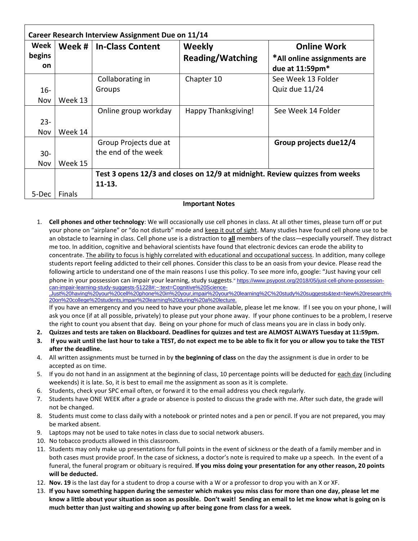| Week      | Week #  | <b>In-Class Content</b>                                                     | Weekly                  | <b>Online Work</b>          |  |
|-----------|---------|-----------------------------------------------------------------------------|-------------------------|-----------------------------|--|
| begins    |         |                                                                             | <b>Reading/Watching</b> | *All online assignments are |  |
| <b>on</b> |         |                                                                             |                         | due at 11:59pm*             |  |
|           |         | Collaborating in                                                            | Chapter 10              | See Week 13 Folder          |  |
| $16 -$    |         | Groups                                                                      |                         | Quiz due 11/24              |  |
| Nov       | Week 13 |                                                                             |                         |                             |  |
|           |         | Online group workday                                                        | Happy Thanksgiving!     | See Week 14 Folder          |  |
| $23 -$    |         |                                                                             |                         |                             |  |
| Nov       | Week 14 |                                                                             |                         |                             |  |
|           |         | Group Projects due at                                                       |                         | Group projects due12/4      |  |
| $30 -$    |         | the end of the week                                                         |                         |                             |  |
| Nov       | Week 15 |                                                                             |                         |                             |  |
|           |         | Test 3 opens 12/3 and closes on 12/9 at midnight. Review quizzes from weeks |                         |                             |  |
|           |         | $11 - 13.$                                                                  |                         |                             |  |
| 5-Dec     | Finals  |                                                                             |                         |                             |  |

#### **Important Notes**

1. **Cell phones and other technology**: We will occasionally use cell phones in class. At all other times, please turn off or put your phone on "airplane" or "do not disturb" mode and keep it out of sight. Many studies have found cell phone use to be an obstacle to learning in class. Cell phone use is a distraction to **all** members of the class—especially yourself. They distract me too. In addition, cognitive and behavioral scientists have found that electronic devices can erode the ability to concentrate. The ability to focus is highly correlated with educational and occupational success. In addition, many college students report feeling addicted to their cell phones. Consider this class to be an oasis from your device. Please read the following article to understand one of the main reasons I use this policy. To see more info, google: "Just having your cell phone in your possession can impair your learning, study suggests." [https://www.psypost.org/2018/05/just-cell-phone-possession](https://www.psypost.org/2018/05/just-cell-phone-possession-can-impair-learning-study-suggests-51228#:~:text=Cognitive%20Science-,Just%20having%20your%20cell%20phone%20in%20your,impair%20your%20learning%2C%20study%20suggests&text=New%20research%20on%20college%20students,impair%20learning%20during%20a%20lecture.)[can-impair-learning-study-suggests-51228#:~:text=Cognitive%20Science-](https://www.psypost.org/2018/05/just-cell-phone-possession-can-impair-learning-study-suggests-51228#:~:text=Cognitive%20Science-,Just%20having%20your%20cell%20phone%20in%20your,impair%20your%20learning%2C%20study%20suggests&text=New%20research%20on%20college%20students,impair%20learning%20during%20a%20lecture.)

[,Just%20having%20your%20cell%20phone%20in%20your,impair%20your%20learning%2C%20study%20suggests&text=New%20research%](https://www.psypost.org/2018/05/just-cell-phone-possession-can-impair-learning-study-suggests-51228#:~:text=Cognitive%20Science-,Just%20having%20your%20cell%20phone%20in%20your,impair%20your%20learning%2C%20study%20suggests&text=New%20research%20on%20college%20students,impair%20learning%20during%20a%20lecture.) [20on%20college%20students,impair%20learning%20during%20a%20lecture.](https://www.psypost.org/2018/05/just-cell-phone-possession-can-impair-learning-study-suggests-51228#:~:text=Cognitive%20Science-,Just%20having%20your%20cell%20phone%20in%20your,impair%20your%20learning%2C%20study%20suggests&text=New%20research%20on%20college%20students,impair%20learning%20during%20a%20lecture.)

If you have an emergency and you need to have your phone available, please let me know. If I see you on your phone, I will ask you once (if at all possible, privately) to please put your phone away. If your phone continues to be a problem, I reserve the right to count you absent that day. Being on your phone for much of class means you are in class in body only.

- **2. Quizzes and tests are taken on Blackboard. Deadlines for quizzes and test are ALMOST ALWAYS Tuesday at 11:59pm.**
- **3. If you wait until the last hour to take a TEST, do not expect me to be able to fix it for you or allow you to take the TEST after the deadline.**
- 4. All written assignments must be turned in by **the beginning of class** on the day the assignment is due in order to be accepted as on time.
- 5. If you do not hand in an assignment at the beginning of class, 10 percentage points will be deducted for each day (including weekends) it is late. So, it is best to email me the assignment as soon as it is complete.
- 6. Students, check your SPC email often, or forward it to the email address you check regularly.
- 7. Students have ONE WEEK after a grade or absence is posted to discuss the grade with me. After such date, the grade will not be changed.
- 8. Students must come to class daily with a notebook or printed notes and a pen or pencil. If you are not prepared, you may be marked absent.
- 9. Laptops may not be used to take notes in class due to social network abusers.
- 10. No tobacco products allowed in this classroom.
- 11. Students may only make up presentations for full points in the event of sickness or the death of a family member and in both cases must provide proof. In the case of sickness, a doctor's note is required to make up a speech. In the event of a funeral, the funeral program or obituary is required. **If you miss doing your presentation for any other reason, 20 points will be deducted.**
- 12. **Nov. 19** is the last day for a student to drop a course with a W or a professor to drop you with an X or XF.
- 13. **If you have something happen during the semester which makes you miss class for more than one day, please let me know a little about your situation as soon as possible. Don't wait! Sending an email to let me know what is going on is much better than just waiting and showing up after being gone from class for a week.**